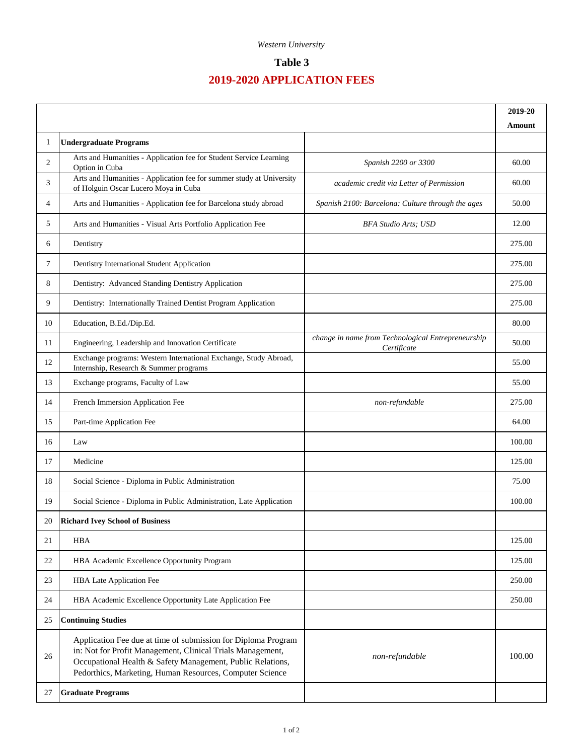### *Western University*

# **Table 3**

# **2019-2020 APPLICATION FEES**

|                |                                                                                                                                                                                                                                                       |                                                                   | 2019-20 |
|----------------|-------------------------------------------------------------------------------------------------------------------------------------------------------------------------------------------------------------------------------------------------------|-------------------------------------------------------------------|---------|
| 1              |                                                                                                                                                                                                                                                       |                                                                   | Amount  |
|                | <b>Undergraduate Programs</b><br>Arts and Humanities - Application fee for Student Service Learning                                                                                                                                                   |                                                                   |         |
| 2              | Option in Cuba<br>Arts and Humanities - Application fee for summer study at University                                                                                                                                                                | Spanish 2200 or 3300                                              | 60.00   |
| 3              | of Holguin Oscar Lucero Moya in Cuba                                                                                                                                                                                                                  | academic credit via Letter of Permission                          | 60.00   |
| $\overline{4}$ | Arts and Humanities - Application fee for Barcelona study abroad                                                                                                                                                                                      | Spanish 2100: Barcelona: Culture through the ages                 | 50.00   |
| 5              | Arts and Humanities - Visual Arts Portfolio Application Fee                                                                                                                                                                                           | <b>BFA Studio Arts: USD</b>                                       | 12.00   |
| 6              | Dentistry                                                                                                                                                                                                                                             |                                                                   | 275.00  |
| 7              | Dentistry International Student Application                                                                                                                                                                                                           |                                                                   | 275.00  |
| 8              | Dentistry: Advanced Standing Dentistry Application                                                                                                                                                                                                    |                                                                   | 275.00  |
| 9              | Dentistry: Internationally Trained Dentist Program Application                                                                                                                                                                                        |                                                                   | 275.00  |
| 10             | Education, B.Ed./Dip.Ed.                                                                                                                                                                                                                              |                                                                   | 80.00   |
| 11             | Engineering, Leadership and Innovation Certificate                                                                                                                                                                                                    | change in name from Technological Entrepreneurship<br>Certificate | 50.00   |
| 12             | Exchange programs: Western International Exchange, Study Abroad,<br>Internship, Research & Summer programs                                                                                                                                            |                                                                   | 55.00   |
| 13             | Exchange programs, Faculty of Law                                                                                                                                                                                                                     |                                                                   | 55.00   |
| 14             | French Immersion Application Fee                                                                                                                                                                                                                      | non-refundable                                                    | 275.00  |
| 15             | Part-time Application Fee                                                                                                                                                                                                                             |                                                                   | 64.00   |
| 16             | Law                                                                                                                                                                                                                                                   |                                                                   | 100.00  |
| 17             | Medicine                                                                                                                                                                                                                                              |                                                                   | 125.00  |
| 18             | Social Science - Diploma in Public Administration                                                                                                                                                                                                     |                                                                   | 75.00   |
| 19             | Social Science - Diploma in Public Administration, Late Application                                                                                                                                                                                   |                                                                   | 100.00  |
| 20             | <b>Richard Ivey School of Business</b>                                                                                                                                                                                                                |                                                                   |         |
| 21             | <b>HBA</b>                                                                                                                                                                                                                                            |                                                                   | 125.00  |
| 22             | HBA Academic Excellence Opportunity Program                                                                                                                                                                                                           |                                                                   | 125.00  |
| 23             | HBA Late Application Fee                                                                                                                                                                                                                              |                                                                   | 250.00  |
| 24             | HBA Academic Excellence Opportunity Late Application Fee                                                                                                                                                                                              |                                                                   | 250.00  |
| 25             | <b>Continuing Studies</b>                                                                                                                                                                                                                             |                                                                   |         |
| 26             | Application Fee due at time of submission for Diploma Program<br>in: Not for Profit Management, Clinical Trials Management,<br>Occupational Health & Safety Management, Public Relations,<br>Pedorthics, Marketing, Human Resources, Computer Science | non-refundable                                                    | 100.00  |
| 27             | <b>Graduate Programs</b>                                                                                                                                                                                                                              |                                                                   |         |